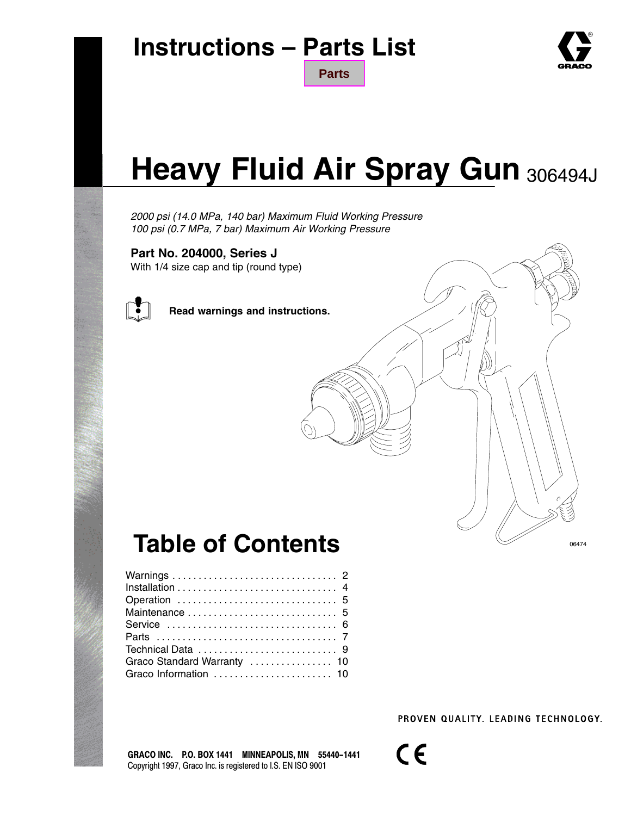

06474

# **Heavy Fluid Air Spray Gun** 306494J

**[Parts](#page-6-0)**

*2000 psi (14.0 MPa, 140 bar) Maximum Fluid Working Pressure 100 psi (0.7 MPa, 7 bar) Maximum Air Working Pressure*

#### **Part No. 204000, Series J**

With 1/4 size cap and tip (round type)



**Read warnings and instructions.**

## **Table of Contents**

| Maintenance  5              |  |  |  |  |  |  |  |
|-----------------------------|--|--|--|--|--|--|--|
|                             |  |  |  |  |  |  |  |
|                             |  |  |  |  |  |  |  |
|                             |  |  |  |  |  |  |  |
| Graco Standard Warranty  10 |  |  |  |  |  |  |  |
| Graco Information  10       |  |  |  |  |  |  |  |
|                             |  |  |  |  |  |  |  |

PROVEN QUALITY, LEADING TECHNOLOGY.

GRACO INC. P.O. BOX 1441 MINNEAPOLIS, MN 55440-1441 Copyright 1997, Graco Inc. is registered to I.S. EN ISO 9001

 $C \in$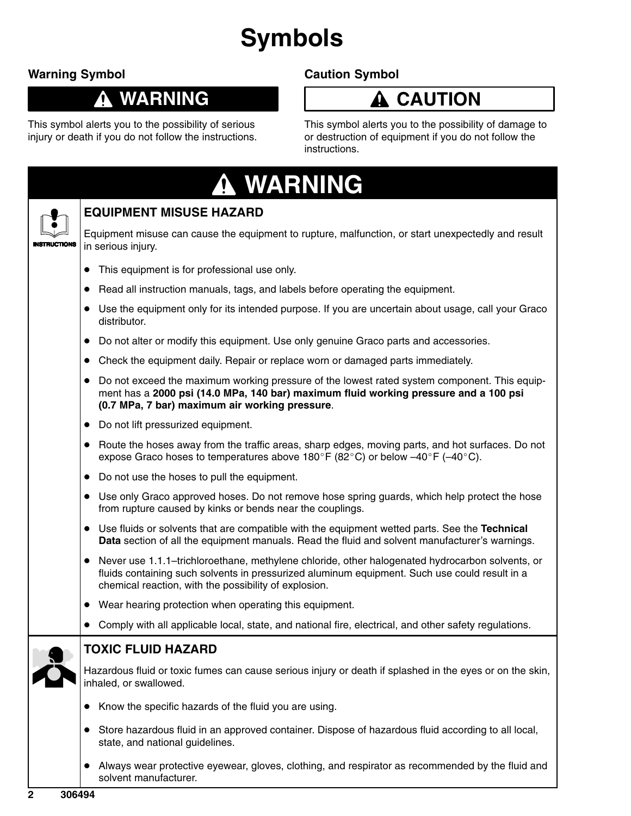# **Symbols**

### **Warning Symbol**

#### **WARNING** 0

### **Caution Symbol**

#### **CAUTION**  $\boldsymbol{\Lambda}$

This symbol alerts you to the possibility of serious injury or death if you do not follow the instructions. This symbol alerts you to the possibility of damage to or destruction of equipment if you do not follow the instructions.

| <b>A WARNING</b>                                                                                                                                                                                                                                            |
|-------------------------------------------------------------------------------------------------------------------------------------------------------------------------------------------------------------------------------------------------------------|
| <b>EQUIPMENT MISUSE HAZARD</b>                                                                                                                                                                                                                              |
| Equipment misuse can cause the equipment to rupture, malfunction, or start unexpectedly and result<br>in serious injury.                                                                                                                                    |
| This equipment is for professional use only.<br>$\bullet$                                                                                                                                                                                                   |
| Read all instruction manuals, tags, and labels before operating the equipment.<br>$\bullet$                                                                                                                                                                 |
| • Use the equipment only for its intended purpose. If you are uncertain about usage, call your Graco<br>distributor.                                                                                                                                        |
| Do not alter or modify this equipment. Use only genuine Graco parts and accessories.<br>$\bullet$                                                                                                                                                           |
| Check the equipment daily. Repair or replace worn or damaged parts immediately.<br>$\bullet$                                                                                                                                                                |
| Do not exceed the maximum working pressure of the lowest rated system component. This equip-<br>$\bullet$<br>ment has a 2000 psi (14.0 MPa, 140 bar) maximum fluid working pressure and a 100 psi<br>(0.7 MPa, 7 bar) maximum air working pressure.         |
| Do not lift pressurized equipment.<br>$\bullet$                                                                                                                                                                                                             |
| • Route the hoses away from the traffic areas, sharp edges, moving parts, and hot surfaces. Do not<br>expose Graco hoses to temperatures above 180°F (82°C) or below $-40^{\circ}$ F ( $-40^{\circ}$ C).                                                    |
| • Do not use the hoses to pull the equipment.                                                                                                                                                                                                               |
| • Use only Graco approved hoses. Do not remove hose spring guards, which help protect the hose<br>from rupture caused by kinks or bends near the couplings.                                                                                                 |
| • Use fluids or solvents that are compatible with the equipment wetted parts. See the Technical<br>Data section of all the equipment manuals. Read the fluid and solvent manufacturer's warnings.                                                           |
| • Never use 1.1.1-trichloroethane, methylene chloride, other halogenated hydrocarbon solvents, or<br>fluids containing such solvents in pressurized aluminum equipment. Such use could result in a<br>chemical reaction, with the possibility of explosion. |
| Wear hearing protection when operating this equipment.                                                                                                                                                                                                      |
| Comply with all applicable local, state, and national fire, electrical, and other safety regulations.                                                                                                                                                       |
| <b>TOXIC FLUID HAZARD</b>                                                                                                                                                                                                                                   |
| Hazardous fluid or toxic fumes can cause serious injury or death if splashed in the eyes or on the skin,<br>inhaled, or swallowed.                                                                                                                          |
| Know the specific hazards of the fluid you are using.<br>$\bullet$                                                                                                                                                                                          |
| Store hazardous fluid in an approved container. Dispose of hazardous fluid according to all local,<br>$\bullet$<br>state, and national guidelines.                                                                                                          |

 $\bullet$  Always wear protective eyewear, gloves, clothing, and respirator as recommended by the fluid and solvent manufacturer.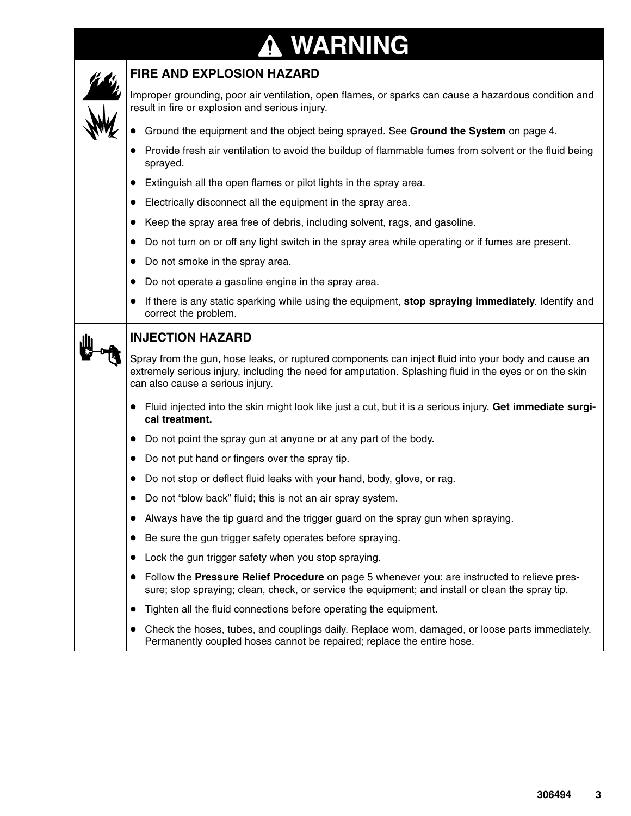# **WARNING**

| <b>FIRE AND EXPLOSION HAZARD</b>                                                                                                                                                                                                                   |
|----------------------------------------------------------------------------------------------------------------------------------------------------------------------------------------------------------------------------------------------------|
| Improper grounding, poor air ventilation, open flames, or sparks can cause a hazardous condition and<br>result in fire or explosion and serious injury.                                                                                            |
| Ground the equipment and the object being sprayed. See Ground the System on page 4.                                                                                                                                                                |
| Provide fresh air ventilation to avoid the buildup of flammable fumes from solvent or the fluid being<br>sprayed.                                                                                                                                  |
| Extinguish all the open flames or pilot lights in the spray area.<br>$\bullet$                                                                                                                                                                     |
| Electrically disconnect all the equipment in the spray area.<br>$\bullet$                                                                                                                                                                          |
| Keep the spray area free of debris, including solvent, rags, and gasoline.<br>$\bullet$                                                                                                                                                            |
| Do not turn on or off any light switch in the spray area while operating or if fumes are present.<br>$\bullet$                                                                                                                                     |
| Do not smoke in the spray area.<br>$\bullet$                                                                                                                                                                                                       |
| Do not operate a gasoline engine in the spray area.<br>$\bullet$                                                                                                                                                                                   |
| If there is any static sparking while using the equipment, stop spraying immediately. Identify and<br>$\bullet$<br>correct the problem.                                                                                                            |
| <b>INJECTION HAZARD</b>                                                                                                                                                                                                                            |
| Spray from the gun, hose leaks, or ruptured components can inject fluid into your body and cause an<br>extremely serious injury, including the need for amputation. Splashing fluid in the eyes or on the skin<br>can also cause a serious injury. |
| Fluid injected into the skin might look like just a cut, but it is a serious injury. Get immediate surgi-<br>cal treatment.                                                                                                                        |
| Do not point the spray gun at anyone or at any part of the body.<br>$\bullet$                                                                                                                                                                      |
| Do not put hand or fingers over the spray tip.<br>$\bullet$                                                                                                                                                                                        |
| Do not stop or deflect fluid leaks with your hand, body, glove, or rag.<br>$\bullet$                                                                                                                                                               |
| Do not "blow back" fluid; this is not an air spray system.<br>$\bullet$                                                                                                                                                                            |
| Always have the tip guard and the trigger guard on the spray gun when spraying.                                                                                                                                                                    |
| Be sure the gun trigger safety operates before spraying.<br>$\bullet$                                                                                                                                                                              |
| Lock the gun trigger safety when you stop spraying.<br>$\bullet$                                                                                                                                                                                   |
| Follow the Pressure Relief Procedure on page 5 whenever you: are instructed to relieve pres-<br>$\bullet$<br>sure; stop spraying; clean, check, or service the equipment; and install or clean the spray tip.                                      |
| Tighten all the fluid connections before operating the equipment.<br>$\bullet$                                                                                                                                                                     |
| Check the hoses, tubes, and couplings daily. Replace worn, damaged, or loose parts immediately.<br>$\bullet$<br>Permanently coupled hoses cannot be repaired; replace the entire hose.                                                             |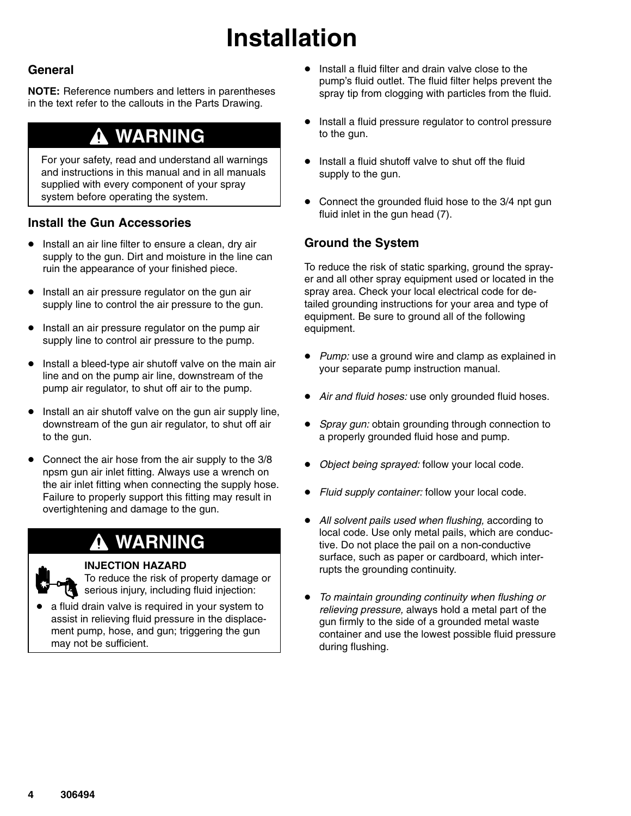# **Installation**

#### **General**

**NOTE:** Reference numbers and letters in parentheses in the text refer to the callouts in the Parts Drawing.

### **WARNING**

For your safety, read and understand all warnings and instructions in this manual and in all manuals supplied with every component of your spray system before operating the system.

#### **Install the Gun Accessories**

- $\bullet$  Install an air line filter to ensure a clean, dry air supply to the gun. Dirt and moisture in the line can ruin the appearance of your finished piece.
- $\bullet$  Install an air pressure regulator on the gun air supply line to control the air pressure to the gun.
- **Install an air pressure regulator on the pump air** supply line to control air pressure to the pump.
- $\bullet$  Install a bleed-type air shutoff valve on the main air line and on the pump air line, downstream of the pump air regulator, to shut off air to the pump.
- $\bullet$  Install an air shutoff valve on the gun air supply line, downstream of the gun air regulator, to shut off air to the gun.
- $\bullet$  Connect the air hose from the air supply to the 3/8 npsm gun air inlet fitting. Always use a wrench on the air inlet fitting when connecting the supply hose. Failure to properly support this fitting may result in overtightening and damage to the gun.

### **WARNING**

#### **INJECTION HAZARD**

To reduce the risk of property damage or serious injury, including fluid injection:

 $\bullet$  a fluid drain valve is required in your system to assist in relieving fluid pressure in the displacement pump, hose, and gun; triggering the gun may not be sufficient.

- $\bullet$  Install a fluid filter and drain valve close to the pump's fluid outlet. The fluid filter helps prevent the spray tip from clogging with particles from the fluid.
- $\bullet$  Install a fluid pressure regulator to control pressure to the gun.
- **•** Install a fluid shutoff valve to shut off the fluid supply to the gun.
- Connect the grounded fluid hose to the 3/4 npt gun fluid inlet in the gun head (7).

#### **Ground the System**

To reduce the risk of static sparking, ground the sprayer and all other spray equipment used or located in the spray area. Check your local electrical code for detailed grounding instructions for your area and type of equipment. Be sure to ground all of the following equipment.

- $\bullet$  *Pump:* use a ground wire and clamp as explained in your separate pump instruction manual.
- *Air and fluid hoses:* use only grounded fluid hoses.
- $\bullet$  *Spray gun:* obtain grounding through connection to a properly grounded fluid hose and pump.
- $\bullet$ *Object being sprayed:* follow your local code.
- $\bullet$ *Fluid supply container:* follow your local code.
- $\bullet$  *All solvent pails used when flushing,* according to local code. Use only metal pails, which are conductive. Do not place the pail on a non-conductive surface, such as paper or cardboard, which interrupts the grounding continuity.
- *To maintain grounding continuity when flushing or relieving pressure,* always hold a metal part of the gun firmly to the side of a grounded metal waste container and use the lowest possible fluid pressure during flushing.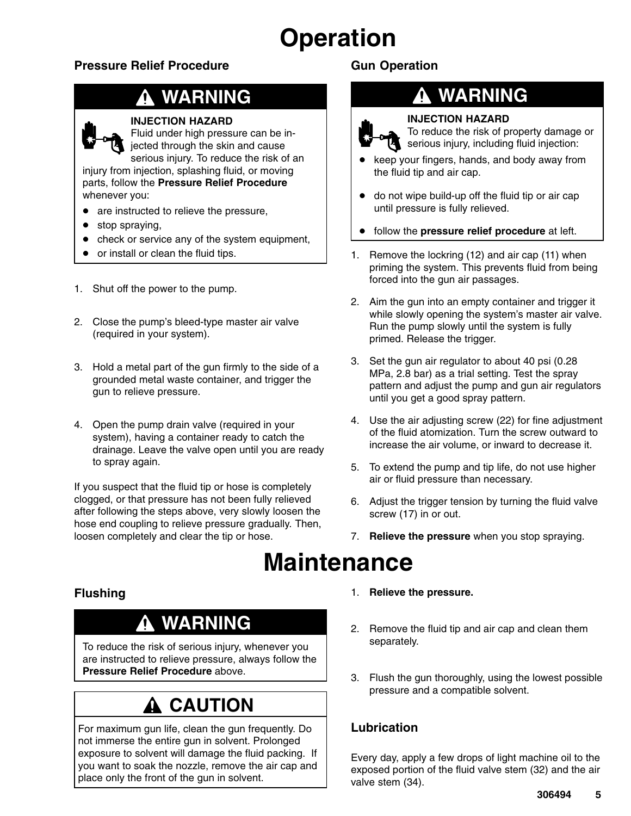# **Operation**

#### **Pressure Relief Procedure**

## **WARNING**

#### **INJECTION HAZARD**

Fluid under high pressure can be injected through the skin and cause serious injury. To reduce the risk of an

injury from injection, splashing fluid, or moving parts, follow the **Pressure Relief Procedure** whenever you:

- are instructed to relieve the pressure,
- stop spraying,
- check or service any of the system equipment,
- or install or clean the fluid tips.
- 1. Shut off the power to the pump.
- 2. Close the pump's bleed-type master air valve (required in your system).
- 3. Hold a metal part of the gun firmly to the side of a grounded metal waste container, and trigger the gun to relieve pressure.
- 4. Open the pump drain valve (required in your system), having a container ready to catch the drainage. Leave the valve open until you are ready to spray again.

If you suspect that the fluid tip or hose is completely clogged, or that pressure has not been fully relieved after following the steps above, very slowly loosen the hose end coupling to relieve pressure gradually. Then, loosen completely and clear the tip or hose.

#### **Gun Operation**

### **WARNING**



#### **INJECTION HAZARD**

To reduce the risk of property damage or serious injury, including fluid injection:

- $\bullet$  keep your fingers, hands, and body away from the fluid tip and air cap.
- do not wipe build-up off the fluid tip or air cap until pressure is fully relieved.
- $\bullet$ follow the **pressure relief procedure** at left.
- 1. Remove the lockring (12) and air cap (11) when priming the system. This prevents fluid from being forced into the gun air passages.
- 2. Aim the gun into an empty container and trigger it while slowly opening the system's master air valve. Run the pump slowly until the system is fully primed. Release the trigger.
- 3. Set the gun air regulator to about 40 psi (0.28 MPa, 2.8 bar) as a trial setting. Test the spray pattern and adjust the pump and gun air regulators until you get a good spray pattern.
- 4. Use the air adjusting screw (22) for fine adjustment of the fluid atomization. Turn the screw outward to increase the air volume, or inward to decrease it.
- 5. To extend the pump and tip life, do not use higher air or fluid pressure than necessary.
- 6. Adjust the trigger tension by turning the fluid valve screw (17) in or out.
- 7. **Relieve the pressure** when you stop spraying.

### **Maintenance**

#### **Flushing**

### **WARNING**

To reduce the risk of serious injury, whenever you are instructed to relieve pressure, always follow the **Pressure Relief Procedure** above.

### **A CAUTION**

For maximum gun life, clean the gun frequently. Do not immerse the entire gun in solvent. Prolonged exposure to solvent will damage the fluid packing. If you want to soak the nozzle, remove the air cap and place only the front of the gun in solvent.

- 1. **Relieve the pressure.**
- 2. Remove the fluid tip and air cap and clean them separately.
- 3. Flush the gun thoroughly, using the lowest possible pressure and a compatible solvent.

#### **Lubrication**

Every day, apply a few drops of light machine oil to the exposed portion of the fluid valve stem (32) and the air valve stem (34).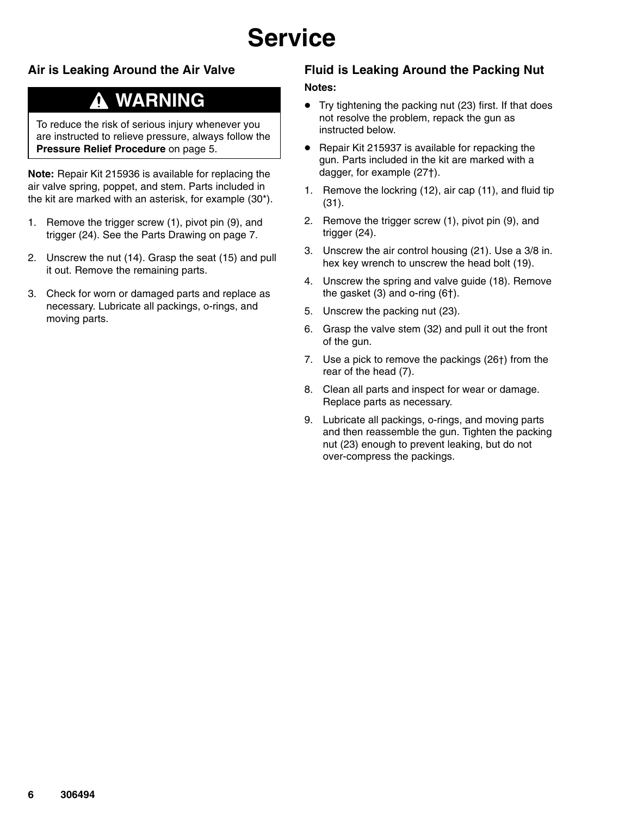# **Service**

#### **Air is Leaking Around the Air Valve**

### **WARNING**

To reduce the risk of serious injury whenever you are instructed to relieve pressure, always follow the **Pressure Relief Procedure** on page 5.

**Note:** Repair Kit 215936 is available for replacing the air valve spring, poppet, and stem. Parts included in the kit are marked with an asterisk, for example (30\*).

- 1. Remove the trigger screw (1), pivot pin (9), and trigger (24). See the Parts Drawing on page 7.
- 2. Unscrew the nut (14). Grasp the seat (15) and pull it out. Remove the remaining parts.
- 3. Check for worn or damaged parts and replace as necessary. Lubricate all packings, o-rings, and moving parts.

#### **Fluid is Leaking Around the Packing Nut**

#### **Notes:**

- Try tightening the packing nut (23) first. If that does not resolve the problem, repack the gun as instructed below.
- Repair Kit 215937 is available for repacking the gun. Parts included in the kit are marked with a dagger, for example (27†).
- 1. Remove the lockring (12), air cap (11), and fluid tip (31).
- 2. Remove the trigger screw (1), pivot pin (9), and trigger (24).
- 3. Unscrew the air control housing (21). Use a 3/8 in. hex key wrench to unscrew the head bolt (19).
- 4. Unscrew the spring and valve guide (18). Remove the gasket (3) and o-ring (6†).
- 5. Unscrew the packing nut (23).
- 6. Grasp the valve stem (32) and pull it out the front of the gun.
- 7. Use a pick to remove the packings (26†) from the rear of the head (7).
- 8. Clean all parts and inspect for wear or damage. Replace parts as necessary.
- 9. Lubricate all packings, o-rings, and moving parts and then reassemble the gun. Tighten the packing nut (23) enough to prevent leaking, but do not over-compress the packings.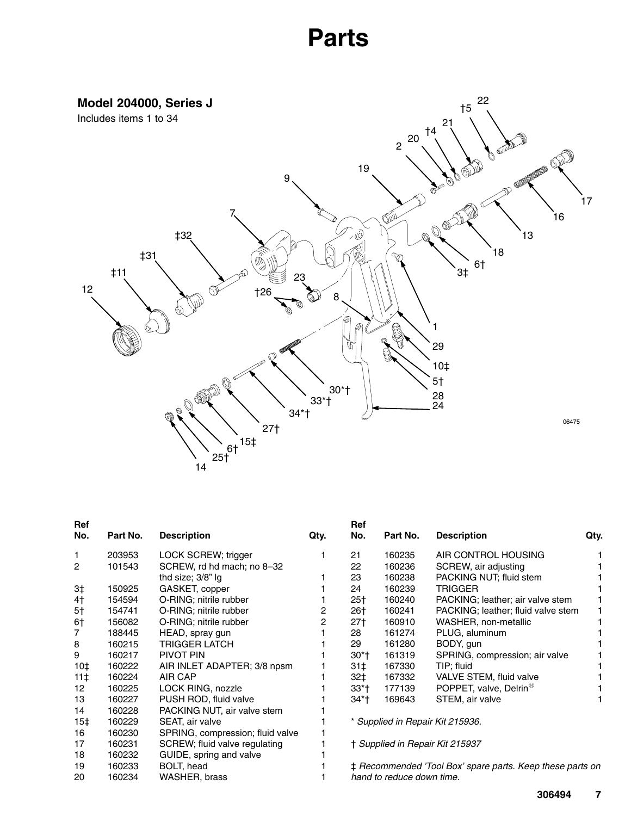### **Parts**

<span id="page-6-0"></span>

| <b>Ref</b><br>No. | Part No. | <b>Description</b>               | Qty. | Ref<br>No. | Part No.                  | <b>Description</b>                                        | Qty. |
|-------------------|----------|----------------------------------|------|------------|---------------------------|-----------------------------------------------------------|------|
| 1                 | 203953   | LOCK SCREW; trigger              |      | 21         | 160235                    | AIR CONTROL HOUSING                                       |      |
| $\overline{c}$    | 101543   | SCREW, rd hd mach; no 8-32       |      | 22         | 160236                    | SCREW, air adjusting                                      |      |
|                   |          | thd size; 3/8" lg                |      | 23         | 160238                    | PACKING NUT; fluid stem                                   |      |
| 3 <sup>†</sup>    | 150925   | GASKET, copper                   |      | 24         | 160239                    | <b>TRIGGER</b>                                            |      |
| 4 <sub>1</sub>    | 154594   | O-RING; nitrile rubber           |      | $25+$      | 160240                    | PACKING; leather; air valve stem                          |      |
| 5†                | 154741   | O-RING; nitrile rubber           | 2    | 26†        | 160241                    | PACKING; leather; fluid valve stem                        |      |
| 6†                | 156082   | O-RING; nitrile rubber           | 2    | $27+$      | 160910                    | WASHER, non-metallic                                      |      |
| 7                 | 188445   | HEAD, spray gun                  |      | 28         | 161274                    | PLUG, aluminum                                            |      |
| 8                 | 160215   | TRIGGER LATCH                    |      | 29         | 161280                    | BODY, gun                                                 |      |
| 9                 | 160217   | PIVOT PIN                        |      | 30*†       | 161319                    | SPRING, compression; air valve                            |      |
| 10 <sup>†</sup>   | 160222   | AIR INLET ADAPTER; 3/8 npsm      |      | 31‡        | 167330                    | TIP; fluid                                                |      |
| $11+$             | 160224   | AIR CAP                          |      | 32‡        | 167332                    | VALVE STEM, fluid valve                                   |      |
| 12                | 160225   | LOCK RING, nozzle                |      | $33*$ †    | 177139                    | POPPET, valve, Delrin <sup>®</sup>                        |      |
| 13                | 160227   | PUSH ROD, fluid valve            |      | 34*†       | 169643                    | STEM, air valve                                           |      |
| 14                | 160228   | PACKING NUT, air valve stem      |      |            |                           |                                                           |      |
| 15 <sup>†</sup>   | 160229   | SEAT, air valve                  |      |            |                           | * Supplied in Repair Kit 215936.                          |      |
| 16                | 160230   | SPRING, compression; fluid valve |      |            |                           |                                                           |      |
| 17                | 160231   | SCREW; fluid valve regulating    |      |            |                           | † Supplied in Repair Kit 215937                           |      |
| 18                | 160232   | GUIDE, spring and valve          |      |            |                           |                                                           |      |
| 19                | 160233   | BOLT, head                       |      |            |                           | ‡ Recommended 'Tool Box' spare parts. Keep these parts on |      |
| 20                | 160234   | WASHER, brass                    |      |            | hand to reduce down time. |                                                           |      |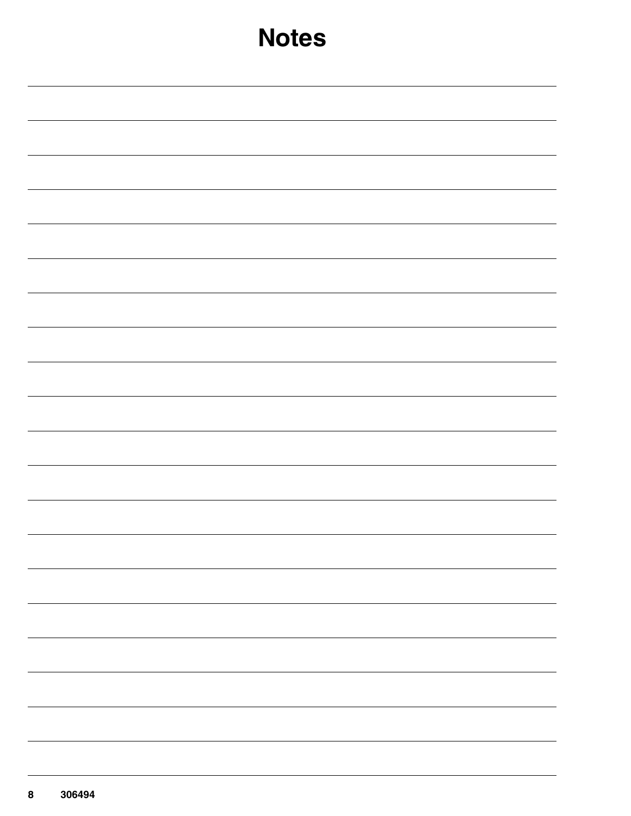| <b>Notes</b> |  |  |  |  |  |  |  |  |
|--------------|--|--|--|--|--|--|--|--|
|              |  |  |  |  |  |  |  |  |
|              |  |  |  |  |  |  |  |  |
|              |  |  |  |  |  |  |  |  |
|              |  |  |  |  |  |  |  |  |
|              |  |  |  |  |  |  |  |  |
|              |  |  |  |  |  |  |  |  |
|              |  |  |  |  |  |  |  |  |
|              |  |  |  |  |  |  |  |  |
|              |  |  |  |  |  |  |  |  |
|              |  |  |  |  |  |  |  |  |
|              |  |  |  |  |  |  |  |  |
|              |  |  |  |  |  |  |  |  |
|              |  |  |  |  |  |  |  |  |
|              |  |  |  |  |  |  |  |  |
|              |  |  |  |  |  |  |  |  |
|              |  |  |  |  |  |  |  |  |
|              |  |  |  |  |  |  |  |  |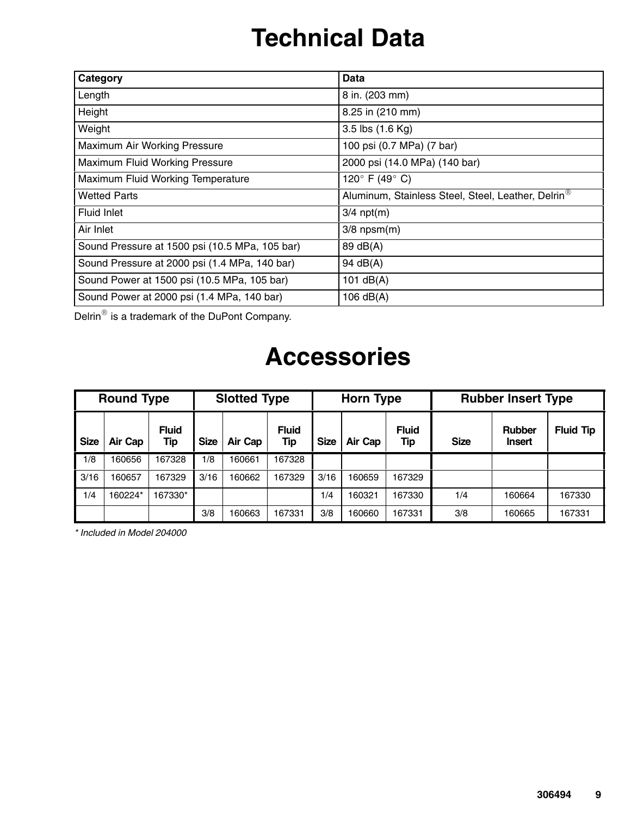# **Technical Data**

| Category                                       | Data                                                           |
|------------------------------------------------|----------------------------------------------------------------|
| Length                                         | 8 in. (203 mm)                                                 |
| Height                                         | 8.25 in (210 mm)                                               |
| Weight                                         | 3.5 lbs (1.6 Kg)                                               |
| Maximum Air Working Pressure                   | 100 psi (0.7 MPa) (7 bar)                                      |
| Maximum Fluid Working Pressure                 | 2000 psi (14.0 MPa) (140 bar)                                  |
| Maximum Fluid Working Temperature              | 120° F (49° C)                                                 |
| Wetted Parts                                   | Aluminum, Stainless Steel, Steel, Leather, Delrin <sup>®</sup> |
| Fluid Inlet                                    | $3/4$ npt $(m)$                                                |
| Air Inlet                                      | $3/8$ npsm $(m)$                                               |
| Sound Pressure at 1500 psi (10.5 MPa, 105 bar) | 89 dB(A)                                                       |
| Sound Pressure at 2000 psi (1.4 MPa, 140 bar)  | 94 dB(A)                                                       |
| Sound Power at 1500 psi (10.5 MPa, 105 bar)    | 101 $dB(A)$                                                    |
| Sound Power at 2000 psi (1.4 MPa, 140 bar)     | 106 $dB(A)$                                                    |

Delrin<sup>®</sup> is a trademark of the DuPont Company.

### **Accessories**

|             | <b>Round Type</b> |                     |             | <b>Slotted Type</b> |                     |             | <b>Horn Type</b> |                     | <b>Rubber Insert Type</b> |                                |                  |  |
|-------------|-------------------|---------------------|-------------|---------------------|---------------------|-------------|------------------|---------------------|---------------------------|--------------------------------|------------------|--|
| <b>Size</b> | Air Cap           | <b>Fluid</b><br>Tip | <b>Size</b> | Air Cap             | <b>Fluid</b><br>Tip | <b>Size</b> | Air Cap          | <b>Fluid</b><br>Tip | <b>Size</b>               | <b>Rubber</b><br><b>Insert</b> | <b>Fluid Tip</b> |  |
| 1/8         | 160656            | 167328              | 1/8         | 160661              | 167328              |             |                  |                     |                           |                                |                  |  |
| 3/16        | 160657            | 167329              | 3/16        | 160662              | 167329              | 3/16        | 160659           | 167329              |                           |                                |                  |  |
| 1/4         | 160224*           | 167330*             |             |                     |                     | 1/4         | 160321           | 167330              | 1/4                       | 160664                         | 167330           |  |
|             |                   |                     | 3/8         | 160663              | 167331              | 3/8         | 160660           | 167331              | 3/8                       | 160665                         | 167331           |  |

*\* Included in Model 204000*